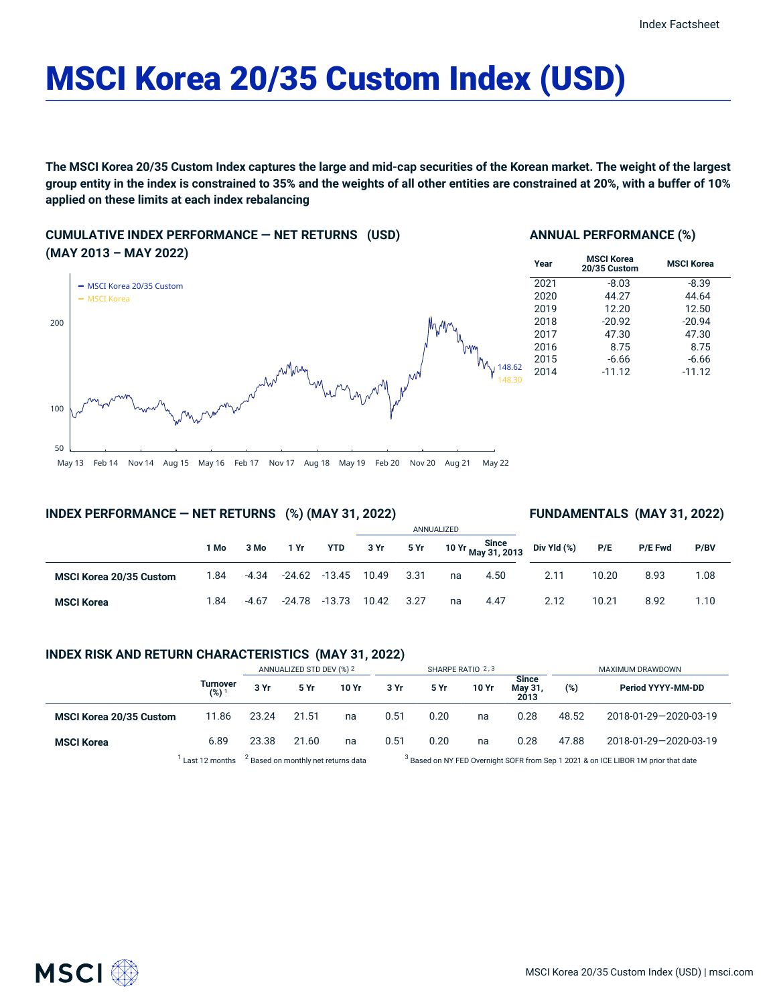# MSCI Korea 20/35 Custom Index (USD)

The MSCI Korea 20/35 Custom Index captures the large and mid-cap securities of the Korean market. The weight of the largest group entity in the index is constrained to 35% and the weights of all other entities are constrained at 20%, with a buffer of 10% **applied on these limits at each index rebalancing**

# **CUMULATIVE INDEX PERFORMANCE — NET RETURNS (USD) (MAY 2013 – MAY 2022)**



## **ANNUAL PERFORMANCE (%)**

| Year | <b>MSCI Korea</b><br>20/35 Custom | <b>MSCI Korea</b> |
|------|-----------------------------------|-------------------|
| 2021 | $-8.03$                           | $-8.39$           |
| 2020 | 44.27                             | 44.64             |
| 2019 | 12.20                             | 12.50             |
| 2018 | $-20.92$                          | $-20.94$          |
| 2017 | 47.30                             | 47.30             |
| 2016 | 8.75                              | 8.75              |
| 2015 | $-6.66$                           | $-6.66$           |
| 2014 | $-11.12$                          | $-11.12$          |
|      |                                   |                   |

## **INDEX PERFORMANCE — NET RETURNS (%) (MAY 31, 2022)**

#### **FUNDAMENTALS (MAY 31, 2022)**

|                                |      |         |        |                         | ANNUALIZED |      |    |      |                                               |       |         |      |
|--------------------------------|------|---------|--------|-------------------------|------------|------|----|------|-----------------------------------------------|-------|---------|------|
|                                | 1 Mo | 3 Mo    | 1 Yr   | <b>YTD</b>              | 3 Yr       | 5 Yr |    |      | 10 Yr Since<br>10 Yr May 31, 2013 Div Yld (%) | P/E   | P/E Fwd | P/BV |
| <b>MSCI Korea 20/35 Custom</b> | 1.84 | $-4.34$ |        | $-24.62$ $-13.45$ 10.49 |            | 3.31 | na | 4.50 | 2.11                                          | 10.20 | 8.93    | 1.08 |
| <b>MSCI Korea</b>              | 1.84 | $-4.67$ | -24.78 | -13.73                  | 10.42      | 3.27 | na | 4.47 | 2.12                                          | 10.21 | 8.92    | 1.10 |

## **INDEX RISK AND RETURN CHARACTERISTICS (MAY 31, 2022)**

|                                |                              | ANNUALIZED STD DEV (%) 2 |             |       | SHARPE RATIO 2,3 |             |       |                                 | MAXIMUM DRAWDOWN |                       |  |
|--------------------------------|------------------------------|--------------------------|-------------|-------|------------------|-------------|-------|---------------------------------|------------------|-----------------------|--|
|                                | Turnover<br>(%) <sup>1</sup> | 3 Yr                     | <b>5 Yr</b> | 10 Yr | 3 Yr             | <b>5 Yr</b> | 10 Yr | <b>Since</b><br>May 31,<br>2013 | (%)              | Period YYYY-MM-DD     |  |
| <b>MSCI Korea 20/35 Custom</b> | 11.86                        | 23.24                    | 21.51       | na    | 0.51             | 0.20        | na    | 0.28                            | 48.52            | 2018-01-29-2020-03-19 |  |
| <b>MSCI Korea</b>              | 6.89                         | 23.38                    | 21.60       | na    | 0.51             | 0.20        | na    | 0.28                            | 47.88            | 2018-01-29-2020-03-19 |  |

 $^1$  Last 12 months  $^2$  Based on monthly net returns data  $^3$ 

<sup>3</sup> Based on NY FED Overnight SOFR from Sep 1 2021 & on ICE LIBOR 1M prior that date

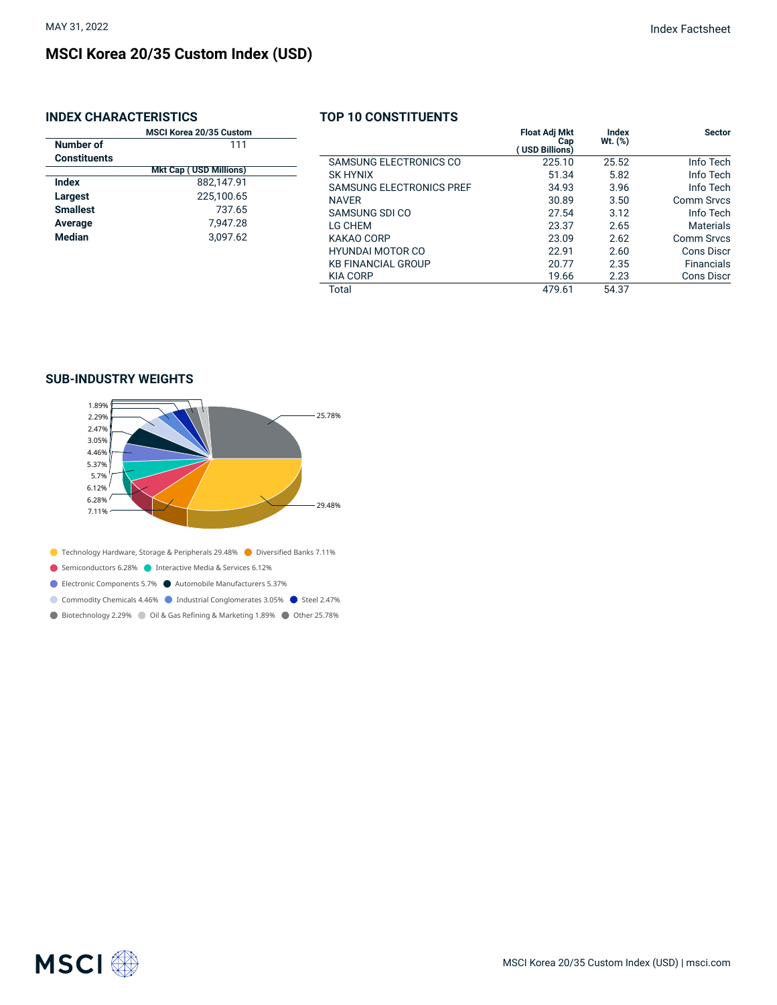# **MSCI Korea 20/35 Custom Index (USD)**

# **INDEX CHARACTERISTICS**

| <b>MSCI Korea 20/35 Custom</b> |                               |  |  |  |  |  |
|--------------------------------|-------------------------------|--|--|--|--|--|
| Number of                      | 111                           |  |  |  |  |  |
| <b>Constituents</b>            |                               |  |  |  |  |  |
|                                | <b>Mkt Cap (USD Millions)</b> |  |  |  |  |  |
| Index                          | 882,147.91                    |  |  |  |  |  |
| Largest                        | 225,100.65                    |  |  |  |  |  |
| <b>Smallest</b>                | 737.65                        |  |  |  |  |  |
| Average                        | 7,947.28                      |  |  |  |  |  |
| <b>Median</b>                  | 3.097.62                      |  |  |  |  |  |
|                                |                               |  |  |  |  |  |
|                                |                               |  |  |  |  |  |

|                                 | <b>Float Adj Mkt</b><br>Cap<br>USD Billions) | Index<br>$Wt.$ (%) | <b>Sector</b>     |
|---------------------------------|----------------------------------------------|--------------------|-------------------|
| SAMSUNG ELECTRONICS CO          | 225.10                                       | 25.52              | Info Tech         |
| <b>SK HYNIX</b>                 | 51.34                                        | 5.82               | Info Tech         |
| <b>SAMSUNG ELECTRONICS PREF</b> | 34.93                                        | 3.96               | Info Tech         |
| <b>NAVER</b>                    | 30.89                                        | 3.50               | Comm Srvcs        |
| SAMSUNG SDI CO                  | 27.54                                        | 3.12               | Info Tech         |
| LG CHEM                         | 23.37                                        | 2.65               | <b>Materials</b>  |
| KAKAO CORP                      | 23.09                                        | 2.62               | Comm Srvcs        |
| <b>HYUNDAI MOTOR CO</b>         | 22.91                                        | 2.60               | Cons Discr        |
| <b>KB FINANCIAL GROUP</b>       | 20.77                                        | 2.35               | <b>Financials</b> |
| <b>KIA CORP</b>                 | 19.66                                        | 2.23               | <b>Cons Discr</b> |
| Total                           | 479.61                                       | 54.37              |                   |

**TOP 10 CONSTITUENTS**

## **SUB-INDUSTRY WEIGHTS**



● Biotechnology 2.29% ● Oil & Gas Refining & Marketing 1.89% ● Other 25.78%